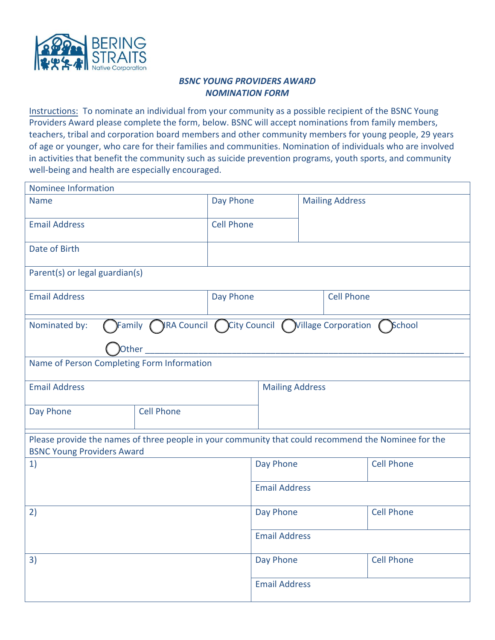

## *BSNC YOUNG PROVIDERS AWARD NOMINATION FORM*

Instructions: To nominate an individual from your community as a possible recipient of the BSNC Young Providers Award please complete the form, below. BSNC will accept nominations from family members, teachers, tribal and corporation board members and other community members for young people, 29 years of age or younger, who care for their families and communities. Nomination of individuals who are involved in activities that benefit the community such as suicide prevention programs, youth sports, and community well-being and health are especially encouraged.

| Nominee Information                                                                                                                      |                   |                      |                        |                        |                   |                   |
|------------------------------------------------------------------------------------------------------------------------------------------|-------------------|----------------------|------------------------|------------------------|-------------------|-------------------|
| <b>Name</b>                                                                                                                              |                   | Day Phone            |                        | <b>Mailing Address</b> |                   |                   |
| <b>Email Address</b>                                                                                                                     |                   | <b>Cell Phone</b>    |                        |                        |                   |                   |
| Date of Birth                                                                                                                            |                   |                      |                        |                        |                   |                   |
| Parent(s) or legal guardian(s)                                                                                                           |                   |                      |                        |                        |                   |                   |
| <b>Email Address</b>                                                                                                                     |                   | Day Phone            |                        | <b>Cell Phone</b>      |                   |                   |
| $\bigcap$ Family $\bigcap$ IRA Council $\bigcap$ City Council $\bigcap$ Village Corporation $\bigcap$ School<br>Nominated by:<br>Other   |                   |                      |                        |                        |                   |                   |
| Name of Person Completing Form Information                                                                                               |                   |                      |                        |                        |                   |                   |
| <b>Email Address</b>                                                                                                                     |                   |                      | <b>Mailing Address</b> |                        |                   |                   |
| Day Phone                                                                                                                                | <b>Cell Phone</b> |                      |                        |                        |                   |                   |
| Please provide the names of three people in your community that could recommend the Nominee for the<br><b>BSNC Young Providers Award</b> |                   |                      |                        |                        |                   |                   |
| 1)                                                                                                                                       |                   | Day Phone            |                        |                        | <b>Cell Phone</b> |                   |
|                                                                                                                                          |                   | <b>Email Address</b> |                        |                        |                   |                   |
| 2)                                                                                                                                       |                   | Day Phone            |                        |                        | <b>Cell Phone</b> |                   |
|                                                                                                                                          |                   |                      | <b>Email Address</b>   |                        |                   |                   |
| 3)                                                                                                                                       |                   |                      | Day Phone              |                        |                   | <b>Cell Phone</b> |
|                                                                                                                                          |                   |                      | <b>Email Address</b>   |                        |                   |                   |